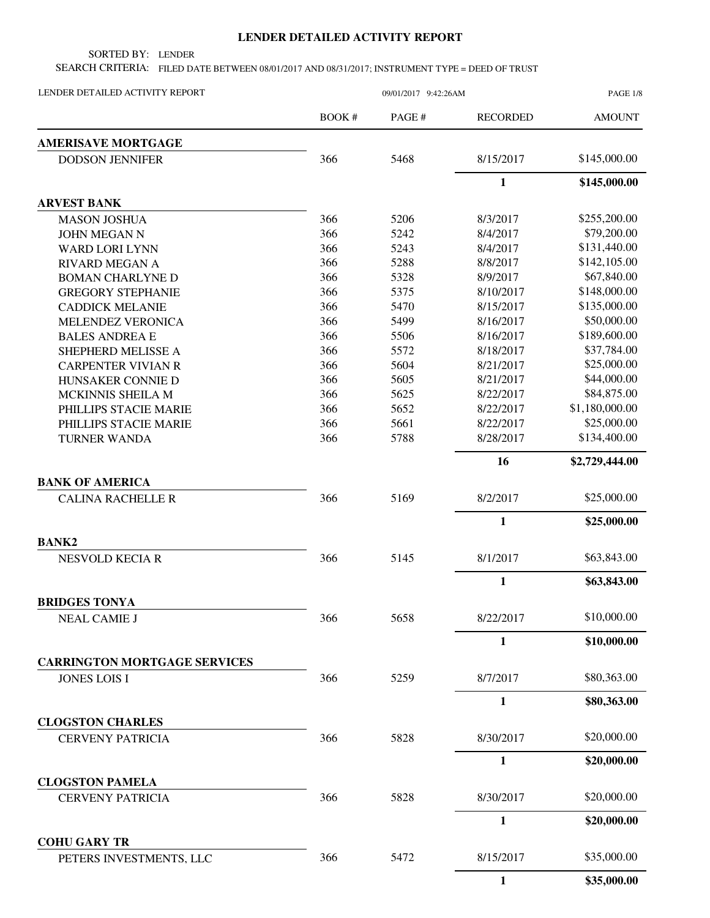## **LENDER DETAILED ACTIVITY REPORT**

SORTED BY: LENDER

SEARCH CRITERIA: FILED DATE BETWEEN 08/01/2017 AND 08/31/2017; INSTRUMENT TYPE = DEED OF TRUST

| LENDER DETAILED ACTIVITY REPORT                | 09/01/2017 9:42:26AM |        |                 | PAGE 1/8       |  |
|------------------------------------------------|----------------------|--------|-----------------|----------------|--|
|                                                | BOOK #               | PAGE # | <b>RECORDED</b> | <b>AMOUNT</b>  |  |
| <b>AMERISAVE MORTGAGE</b>                      |                      |        |                 |                |  |
| <b>DODSON JENNIFER</b>                         | 366                  | 5468   | 8/15/2017       | \$145,000.00   |  |
|                                                |                      |        | $\mathbf{1}$    | \$145,000.00   |  |
| <b>ARVEST BANK</b>                             |                      |        |                 |                |  |
| <b>MASON JOSHUA</b>                            | 366                  | 5206   | 8/3/2017        | \$255,200.00   |  |
| <b>JOHN MEGAN N</b>                            | 366                  | 5242   | 8/4/2017        | \$79,200.00    |  |
| <b>WARD LORI LYNN</b>                          | 366                  | 5243   | 8/4/2017        | \$131,440.00   |  |
| <b>RIVARD MEGAN A</b>                          | 366                  | 5288   | 8/8/2017        | \$142,105.00   |  |
| <b>BOMAN CHARLYNE D</b>                        | 366                  | 5328   | 8/9/2017        | \$67,840.00    |  |
| <b>GREGORY STEPHANIE</b>                       | 366                  | 5375   | 8/10/2017       | \$148,000.00   |  |
| <b>CADDICK MELANIE</b>                         | 366                  | 5470   | 8/15/2017       | \$135,000.00   |  |
| MELENDEZ VERONICA                              | 366                  | 5499   | 8/16/2017       | \$50,000.00    |  |
| <b>BALES ANDREA E</b>                          | 366                  | 5506   | 8/16/2017       | \$189,600.00   |  |
| SHEPHERD MELISSE A                             | 366                  | 5572   | 8/18/2017       | \$37,784.00    |  |
| <b>CARPENTER VIVIAN R</b>                      | 366                  | 5604   | 8/21/2017       | \$25,000.00    |  |
| HUNSAKER CONNIE D                              | 366                  | 5605   | 8/21/2017       | \$44,000.00    |  |
| MCKINNIS SHEILA M                              | 366                  | 5625   | 8/22/2017       | \$84,875.00    |  |
| PHILLIPS STACIE MARIE                          | 366                  | 5652   | 8/22/2017       | \$1,180,000.00 |  |
| PHILLIPS STACIE MARIE                          | 366                  | 5661   | 8/22/2017       | \$25,000.00    |  |
| <b>TURNER WANDA</b>                            | 366                  | 5788   | 8/28/2017       | \$134,400.00   |  |
|                                                |                      |        | 16              | \$2,729,444.00 |  |
| <b>BANK OF AMERICA</b>                         |                      |        |                 |                |  |
| <b>CALINA RACHELLE R</b>                       | 366                  | 5169   | 8/2/2017        | \$25,000.00    |  |
|                                                |                      |        | $\mathbf{1}$    | \$25,000.00    |  |
| <b>BANK2</b>                                   |                      |        |                 |                |  |
| <b>NESVOLD KECIA R</b>                         | 366                  | 5145   | 8/1/2017        | \$63,843.00    |  |
|                                                |                      |        | $\mathbf{1}$    | \$63,843.00    |  |
| <b>BRIDGES TONYA</b>                           |                      |        |                 |                |  |
| <b>NEAL CAMIE J</b>                            | 366                  | 5658   | 8/22/2017       | \$10,000.00    |  |
|                                                |                      |        | $\mathbf{1}$    | \$10,000.00    |  |
| <b>CARRINGTON MORTGAGE SERVICES</b>            |                      |        |                 |                |  |
| <b>JONES LOIS I</b>                            | 366                  | 5259   | 8/7/2017        | \$80,363.00    |  |
|                                                |                      |        | $\mathbf{1}$    | \$80,363.00    |  |
| <b>CLOGSTON CHARLES</b>                        |                      |        |                 |                |  |
| <b>CERVENY PATRICIA</b>                        | 366                  | 5828   | 8/30/2017       | \$20,000.00    |  |
|                                                |                      |        | $\mathbf{1}$    | \$20,000.00    |  |
| <b>CLOGSTON PAMELA</b>                         |                      |        |                 |                |  |
| <b>CERVENY PATRICIA</b>                        | 366                  | 5828   | 8/30/2017       | \$20,000.00    |  |
|                                                |                      |        | $\mathbf{1}$    | \$20,000.00    |  |
| <b>COHU GARY TR</b><br>PETERS INVESTMENTS, LLC | 366                  | 5472   | 8/15/2017       | \$35,000.00    |  |
|                                                |                      |        | $\mathbf{1}$    | \$35,000.00    |  |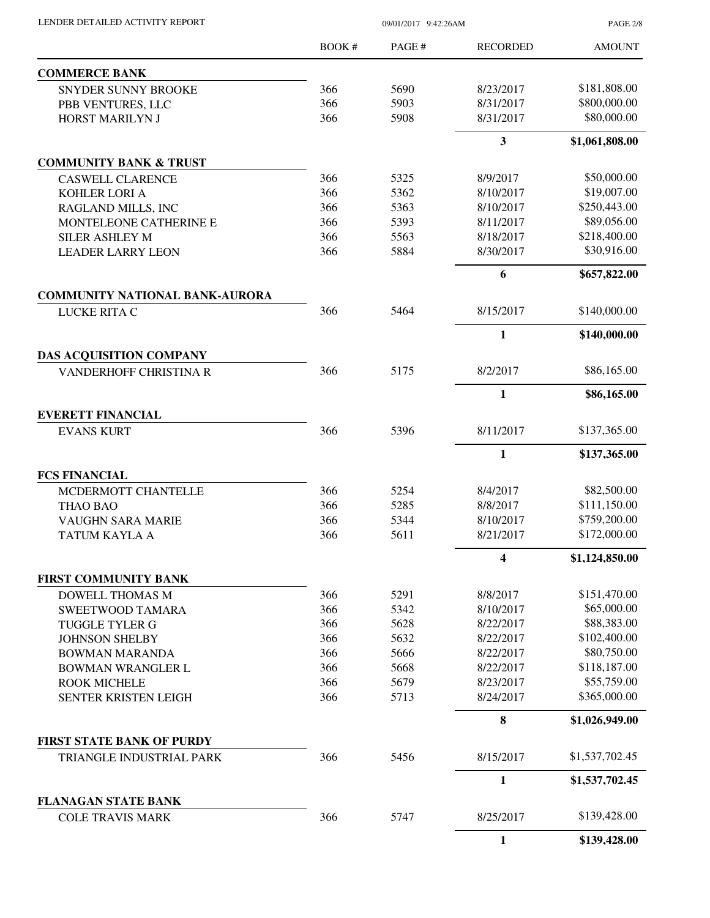| LENDER DETAILED ACTIVITY REPORT                       | 09/01/2017 9:42:26AM |              |                         | <b>PAGE 2/8</b>             |
|-------------------------------------------------------|----------------------|--------------|-------------------------|-----------------------------|
|                                                       | <b>BOOK#</b>         | PAGE #       | <b>RECORDED</b>         | <b>AMOUNT</b>               |
| <b>COMMERCE BANK</b>                                  |                      |              |                         |                             |
| SNYDER SUNNY BROOKE                                   | 366                  | 5690         | 8/23/2017               | \$181,808.00                |
| PBB VENTURES, LLC                                     | 366                  | 5903         | 8/31/2017               | \$800,000.00                |
| HORST MARILYN J                                       | 366                  | 5908         | 8/31/2017               | \$80,000.00                 |
|                                                       |                      |              | 3                       | \$1,061,808.00              |
| <b>COMMUNITY BANK &amp; TRUST</b>                     |                      |              |                         |                             |
| <b>CASWELL CLARENCE</b>                               | 366                  | 5325         | 8/9/2017                | \$50,000.00                 |
| KOHLER LORI A                                         | 366                  | 5362         | 8/10/2017               | \$19,007.00                 |
| RAGLAND MILLS, INC                                    | 366                  | 5363         | 8/10/2017               | \$250,443.00                |
| MONTELEONE CATHERINE E                                | 366                  | 5393         | 8/11/2017               | \$89,056.00                 |
| <b>SILER ASHLEY M</b>                                 | 366                  | 5563         | 8/18/2017               | \$218,400.00                |
| <b>LEADER LARRY LEON</b>                              | 366                  | 5884         | 8/30/2017               | \$30,916.00                 |
|                                                       |                      |              | 6                       | \$657,822.00                |
| <b>COMMUNITY NATIONAL BANK-AURORA</b><br>LUCKE RITA C | 366                  | 5464         | 8/15/2017               | \$140,000.00                |
|                                                       |                      |              | $\mathbf{1}$            | \$140,000.00                |
| <b>DAS ACQUISITION COMPANY</b>                        |                      |              |                         |                             |
| <b>VANDERHOFF CHRISTINA R</b>                         | 366                  | 5175         | 8/2/2017                | \$86,165.00                 |
|                                                       |                      |              | 1                       | \$86,165.00                 |
| <b>EVERETT FINANCIAL</b>                              |                      |              |                         |                             |
| <b>EVANS KURT</b>                                     | 366                  | 5396         | 8/11/2017               | \$137,365.00                |
|                                                       |                      |              | 1                       | \$137,365.00                |
| <b>FCS FINANCIAL</b>                                  |                      |              |                         |                             |
| MCDERMOTT CHANTELLE                                   | 366                  | 5254         | 8/4/2017                | \$82,500.00                 |
| THAO BAO                                              | 366                  | 5285         | 8/8/2017                | \$111,150.00                |
| VAUGHN SARA MARIE                                     | 366                  | 5344         | 8/10/2017               | \$759,200.00                |
| TATUM KAYLA A                                         | 366                  | 5611         | 8/21/2017               | \$172,000.00                |
|                                                       |                      |              | $\overline{\mathbf{4}}$ | \$1,124,850.00              |
| FIRST COMMUNITY BANK                                  |                      |              |                         |                             |
| <b>DOWELL THOMAS M</b>                                | 366                  | 5291         | 8/8/2017                | \$151,470.00<br>\$65,000.00 |
| SWEETWOOD TAMARA<br><b>TUGGLE TYLER G</b>             | 366<br>366           | 5342<br>5628 | 8/10/2017<br>8/22/2017  | \$88,383.00                 |
| <b>JOHNSON SHELBY</b>                                 | 366                  | 5632         | 8/22/2017               | \$102,400.00                |
| <b>BOWMAN MARANDA</b>                                 | 366                  | 5666         | 8/22/2017               | \$80,750.00                 |
| <b>BOWMAN WRANGLER L</b>                              | 366                  | 5668         | 8/22/2017               | \$118,187.00                |
| <b>ROOK MICHELE</b>                                   | 366                  | 5679         | 8/23/2017               | \$55,759.00                 |
| SENTER KRISTEN LEIGH                                  | 366                  | 5713         | 8/24/2017               | \$365,000.00                |
|                                                       |                      |              | 8                       | \$1,026,949.00              |
| <b>FIRST STATE BANK OF PURDY</b>                      |                      |              |                         |                             |
| TRIANGLE INDUSTRIAL PARK                              | 366                  | 5456         | 8/15/2017               | \$1,537,702.45              |
|                                                       |                      |              | 1                       | \$1,537,702.45              |
| <b>FLANAGAN STATE BANK</b><br><b>COLE TRAVIS MARK</b> | 366                  | 5747         | 8/25/2017               | \$139,428.00                |
|                                                       |                      |              | $\mathbf{1}$            | \$139,428.00                |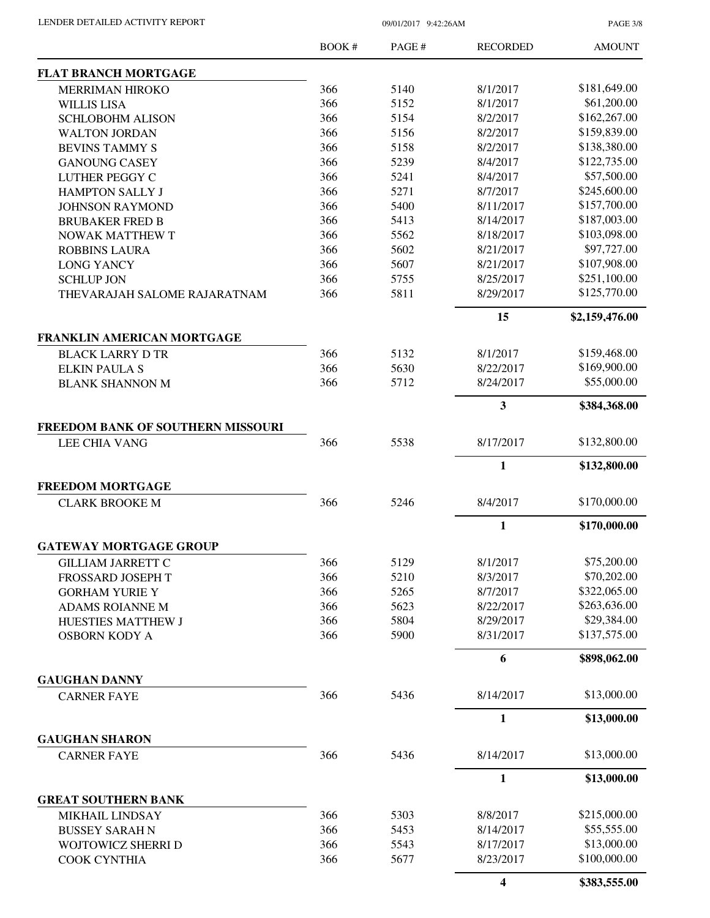PAGE 3/8

|                                                           | BOOK# | PAGE# | <b>RECORDED</b> | <b>AMOUNT</b>  |
|-----------------------------------------------------------|-------|-------|-----------------|----------------|
| <b>FLAT BRANCH MORTGAGE</b>                               |       |       |                 |                |
| <b>MERRIMAN HIROKO</b>                                    | 366   | 5140  | 8/1/2017        | \$181,649.00   |
| <b>WILLIS LISA</b>                                        | 366   | 5152  | 8/1/2017        | \$61,200.00    |
| <b>SCHLOBOHM ALISON</b>                                   | 366   | 5154  | 8/2/2017        | \$162,267.00   |
| <b>WALTON JORDAN</b>                                      | 366   | 5156  | 8/2/2017        | \$159,839.00   |
| <b>BEVINS TAMMY S</b>                                     | 366   | 5158  | 8/2/2017        | \$138,380.00   |
| <b>GANOUNG CASEY</b>                                      | 366   | 5239  | 8/4/2017        | \$122,735.00   |
| <b>LUTHER PEGGY C</b>                                     | 366   | 5241  | 8/4/2017        | \$57,500.00    |
| <b>HAMPTON SALLY J</b>                                    | 366   | 5271  | 8/7/2017        | \$245,600.00   |
| <b>JOHNSON RAYMOND</b>                                    | 366   | 5400  | 8/11/2017       | \$157,700.00   |
| <b>BRUBAKER FRED B</b>                                    | 366   | 5413  | 8/14/2017       | \$187,003.00   |
| <b>NOWAK MATTHEW T</b>                                    | 366   | 5562  | 8/18/2017       | \$103,098.00   |
| <b>ROBBINS LAURA</b>                                      | 366   | 5602  | 8/21/2017       | \$97,727.00    |
| <b>LONG YANCY</b>                                         | 366   | 5607  | 8/21/2017       | \$107,908.00   |
| <b>SCHLUP JON</b>                                         | 366   | 5755  | 8/25/2017       | \$251,100.00   |
|                                                           | 366   | 5811  | 8/29/2017       | \$125,770.00   |
| THEVARAJAH SALOME RAJARATNAM                              |       |       |                 |                |
|                                                           |       |       | 15              | \$2,159,476.00 |
| FRANKLIN AMERICAN MORTGAGE<br><b>BLACK LARRY D TR</b>     | 366   | 5132  | 8/1/2017        | \$159,468.00   |
| <b>ELKIN PAULA S</b>                                      | 366   | 5630  | 8/22/2017       | \$169,900.00   |
| <b>BLANK SHANNON M</b>                                    | 366   | 5712  | 8/24/2017       | \$55,000.00    |
|                                                           |       |       |                 |                |
|                                                           |       |       | 3               | \$384,368.00   |
| FREEDOM BANK OF SOUTHERN MISSOURI<br><b>LEE CHIA VANG</b> | 366   | 5538  | 8/17/2017       | \$132,800.00   |
|                                                           |       |       | $\mathbf{1}$    | \$132,800.00   |
| <b>FREEDOM MORTGAGE</b>                                   |       |       |                 |                |
| <b>CLARK BROOKE M</b>                                     | 366   | 5246  | 8/4/2017        | \$170,000.00   |
|                                                           |       |       | $\mathbf{1}$    | \$170,000.00   |
| <b>GATEWAY MORTGAGE GROUP</b>                             |       |       |                 |                |
|                                                           |       |       |                 |                |
| <b>GILLIAM JARRETT C</b>                                  | 366   | 5129  | 8/1/2017        | \$75,200.00    |
| FROSSARD JOSEPH T                                         | 366   | 5210  | 8/3/2017        | \$70,202.00    |
| <b>GORHAM YURIE Y</b>                                     | 366   | 5265  | 8/7/2017        | \$322,065.00   |
| ADAMS ROIANNE M                                           | 366   | 5623  | 8/22/2017       | \$263,636.00   |
| HUESTIES MATTHEW J                                        | 366   | 5804  | 8/29/2017       | \$29,384.00    |
| <b>OSBORN KODY A</b>                                      | 366   | 5900  | 8/31/2017       | \$137,575.00   |
|                                                           |       |       | 6               | \$898,062.00   |
| <b>GAUGHAN DANNY</b>                                      |       |       |                 |                |
| <b>CARNER FAYE</b>                                        | 366   | 5436  | 8/14/2017       | \$13,000.00    |
|                                                           |       |       | 1               | \$13,000.00    |
| <b>GAUGHAN SHARON</b>                                     |       |       |                 |                |
| <b>CARNER FAYE</b>                                        | 366   | 5436  | 8/14/2017       | \$13,000.00    |
|                                                           |       |       | $\mathbf{1}$    | \$13,000.00    |
| <b>GREAT SOUTHERN BANK</b>                                |       |       |                 |                |
| <b>MIKHAIL LINDSAY</b>                                    | 366   | 5303  | 8/8/2017        | \$215,000.00   |
| <b>BUSSEY SARAH N</b>                                     | 366   | 5453  | 8/14/2017       | \$55,555.00    |
| WOJTOWICZ SHERRI D                                        | 366   | 5543  | 8/17/2017       | \$13,000.00    |
| COOK CYNTHIA                                              | 366   | 5677  | 8/23/2017       | \$100,000.00   |
|                                                           |       |       | 4               | \$383,555.00   |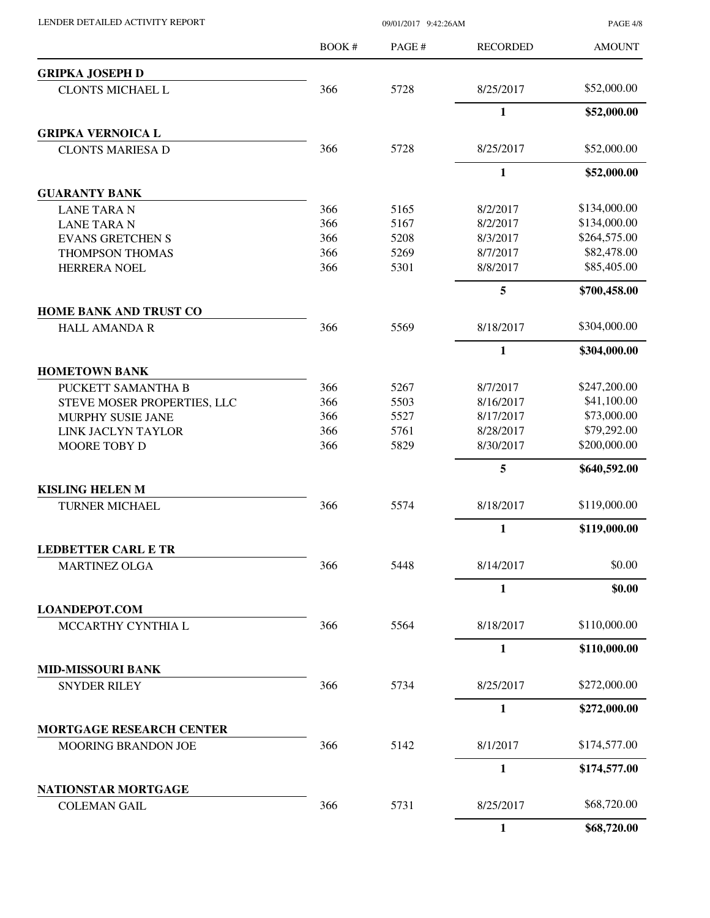LENDER DETAILED ACTIVITY REPORT 09/01/2017 9:42:26AM

PAGE 4/8

| <b>GRIPKA JOSEPH D</b><br>\$52,000.00<br>366<br>5728<br>8/25/2017<br><b>CLONTS MICHAEL L</b><br>$\mathbf{1}$<br>\$52,000.00<br><b>GRIPKA VERNOICA L</b><br>366<br>\$52,000.00<br>5728<br>8/25/2017<br><b>CLONTS MARIESA D</b><br>$\mathbf{1}$<br>\$52,000.00<br><b>GUARANTY BANK</b><br>\$134,000.00<br>366<br>5165<br>8/2/2017<br><b>LANE TARA N</b><br>\$134,000.00<br>366<br>5167<br>8/2/2017<br><b>LANE TARA N</b><br>\$264,575.00<br>366<br>5208<br>8/3/2017<br><b>EVANS GRETCHEN S</b><br>\$82,478.00<br>366<br>5269<br>8/7/2017<br>THOMPSON THOMAS<br>\$85,405.00<br>366<br>5301<br>8/8/2017<br>HERRERA NOEL<br>5<br>\$700,458.00<br><b>HOME BANK AND TRUST CO</b><br>\$304,000.00<br>366<br>5569<br>8/18/2017<br><b>HALL AMANDA R</b><br>$\mathbf{1}$<br>\$304,000.00<br><b>HOMETOWN BANK</b><br>366<br>5267<br>8/7/2017<br>\$247,200.00<br>PUCKETT SAMANTHA B<br>\$41,100.00<br>366<br>5503<br>8/16/2017<br>STEVE MOSER PROPERTIES, LLC<br>366<br>\$73,000.00<br>5527<br>8/17/2017<br><b>MURPHY SUSIE JANE</b><br>\$79,292.00<br>366<br>5761<br>8/28/2017<br>LINK JACLYN TAYLOR<br>\$200,000.00<br>366<br>5829<br>8/30/2017<br>MOORE TOBY D<br>5<br>\$640,592.00<br><b>KISLING HELEN M</b><br>5574<br>\$119,000.00<br>366<br>8/18/2017<br><b>TURNER MICHAEL</b><br>$\mathbf{1}$<br>\$119,000.00<br><b>LEDBETTER CARL E TR</b><br>\$0.00<br>366<br>5448<br>8/14/2017<br><b>MARTINEZ OLGA</b><br>$\mathbf{1}$<br>\$0.00<br><b>LOANDEPOT.COM</b><br>\$110,000.00<br>366<br>5564<br>8/18/2017<br>MCCARTHY CYNTHIA L<br>$\mathbf{1}$<br>\$110,000.00<br><b>MID-MISSOURI BANK</b><br>366<br>5734<br>\$272,000.00<br>8/25/2017<br><b>SNYDER RILEY</b><br>$\mathbf{1}$<br>\$272,000.00<br><b>MORTGAGE RESEARCH CENTER</b><br>\$174,577.00<br>366<br>5142<br>8/1/2017<br>MOORING BRANDON JOE<br>$\mathbf{1}$<br>\$174,577.00<br>NATIONSTAR MORTGAGE<br>\$68,720.00<br>366<br>5731<br>8/25/2017<br><b>COLEMAN GAIL</b> | <b>BOOK#</b> | PAGE# | <b>RECORDED</b> | <b>AMOUNT</b> |
|-----------------------------------------------------------------------------------------------------------------------------------------------------------------------------------------------------------------------------------------------------------------------------------------------------------------------------------------------------------------------------------------------------------------------------------------------------------------------------------------------------------------------------------------------------------------------------------------------------------------------------------------------------------------------------------------------------------------------------------------------------------------------------------------------------------------------------------------------------------------------------------------------------------------------------------------------------------------------------------------------------------------------------------------------------------------------------------------------------------------------------------------------------------------------------------------------------------------------------------------------------------------------------------------------------------------------------------------------------------------------------------------------------------------------------------------------------------------------------------------------------------------------------------------------------------------------------------------------------------------------------------------------------------------------------------------------------------------------------------------------------------------------------------------------------------------------------------------------------------------------------------------------------------------------|--------------|-------|-----------------|---------------|
|                                                                                                                                                                                                                                                                                                                                                                                                                                                                                                                                                                                                                                                                                                                                                                                                                                                                                                                                                                                                                                                                                                                                                                                                                                                                                                                                                                                                                                                                                                                                                                                                                                                                                                                                                                                                                                                                                                                       |              |       |                 |               |
|                                                                                                                                                                                                                                                                                                                                                                                                                                                                                                                                                                                                                                                                                                                                                                                                                                                                                                                                                                                                                                                                                                                                                                                                                                                                                                                                                                                                                                                                                                                                                                                                                                                                                                                                                                                                                                                                                                                       |              |       |                 |               |
|                                                                                                                                                                                                                                                                                                                                                                                                                                                                                                                                                                                                                                                                                                                                                                                                                                                                                                                                                                                                                                                                                                                                                                                                                                                                                                                                                                                                                                                                                                                                                                                                                                                                                                                                                                                                                                                                                                                       |              |       |                 |               |
|                                                                                                                                                                                                                                                                                                                                                                                                                                                                                                                                                                                                                                                                                                                                                                                                                                                                                                                                                                                                                                                                                                                                                                                                                                                                                                                                                                                                                                                                                                                                                                                                                                                                                                                                                                                                                                                                                                                       |              |       |                 |               |
|                                                                                                                                                                                                                                                                                                                                                                                                                                                                                                                                                                                                                                                                                                                                                                                                                                                                                                                                                                                                                                                                                                                                                                                                                                                                                                                                                                                                                                                                                                                                                                                                                                                                                                                                                                                                                                                                                                                       |              |       |                 |               |
|                                                                                                                                                                                                                                                                                                                                                                                                                                                                                                                                                                                                                                                                                                                                                                                                                                                                                                                                                                                                                                                                                                                                                                                                                                                                                                                                                                                                                                                                                                                                                                                                                                                                                                                                                                                                                                                                                                                       |              |       |                 |               |
|                                                                                                                                                                                                                                                                                                                                                                                                                                                                                                                                                                                                                                                                                                                                                                                                                                                                                                                                                                                                                                                                                                                                                                                                                                                                                                                                                                                                                                                                                                                                                                                                                                                                                                                                                                                                                                                                                                                       |              |       |                 |               |
|                                                                                                                                                                                                                                                                                                                                                                                                                                                                                                                                                                                                                                                                                                                                                                                                                                                                                                                                                                                                                                                                                                                                                                                                                                                                                                                                                                                                                                                                                                                                                                                                                                                                                                                                                                                                                                                                                                                       |              |       |                 |               |
|                                                                                                                                                                                                                                                                                                                                                                                                                                                                                                                                                                                                                                                                                                                                                                                                                                                                                                                                                                                                                                                                                                                                                                                                                                                                                                                                                                                                                                                                                                                                                                                                                                                                                                                                                                                                                                                                                                                       |              |       |                 |               |
|                                                                                                                                                                                                                                                                                                                                                                                                                                                                                                                                                                                                                                                                                                                                                                                                                                                                                                                                                                                                                                                                                                                                                                                                                                                                                                                                                                                                                                                                                                                                                                                                                                                                                                                                                                                                                                                                                                                       |              |       |                 |               |
|                                                                                                                                                                                                                                                                                                                                                                                                                                                                                                                                                                                                                                                                                                                                                                                                                                                                                                                                                                                                                                                                                                                                                                                                                                                                                                                                                                                                                                                                                                                                                                                                                                                                                                                                                                                                                                                                                                                       |              |       |                 |               |
|                                                                                                                                                                                                                                                                                                                                                                                                                                                                                                                                                                                                                                                                                                                                                                                                                                                                                                                                                                                                                                                                                                                                                                                                                                                                                                                                                                                                                                                                                                                                                                                                                                                                                                                                                                                                                                                                                                                       |              |       |                 |               |
|                                                                                                                                                                                                                                                                                                                                                                                                                                                                                                                                                                                                                                                                                                                                                                                                                                                                                                                                                                                                                                                                                                                                                                                                                                                                                                                                                                                                                                                                                                                                                                                                                                                                                                                                                                                                                                                                                                                       |              |       |                 |               |
|                                                                                                                                                                                                                                                                                                                                                                                                                                                                                                                                                                                                                                                                                                                                                                                                                                                                                                                                                                                                                                                                                                                                                                                                                                                                                                                                                                                                                                                                                                                                                                                                                                                                                                                                                                                                                                                                                                                       |              |       |                 |               |
|                                                                                                                                                                                                                                                                                                                                                                                                                                                                                                                                                                                                                                                                                                                                                                                                                                                                                                                                                                                                                                                                                                                                                                                                                                                                                                                                                                                                                                                                                                                                                                                                                                                                                                                                                                                                                                                                                                                       |              |       |                 |               |
|                                                                                                                                                                                                                                                                                                                                                                                                                                                                                                                                                                                                                                                                                                                                                                                                                                                                                                                                                                                                                                                                                                                                                                                                                                                                                                                                                                                                                                                                                                                                                                                                                                                                                                                                                                                                                                                                                                                       |              |       |                 |               |
|                                                                                                                                                                                                                                                                                                                                                                                                                                                                                                                                                                                                                                                                                                                                                                                                                                                                                                                                                                                                                                                                                                                                                                                                                                                                                                                                                                                                                                                                                                                                                                                                                                                                                                                                                                                                                                                                                                                       |              |       |                 |               |
|                                                                                                                                                                                                                                                                                                                                                                                                                                                                                                                                                                                                                                                                                                                                                                                                                                                                                                                                                                                                                                                                                                                                                                                                                                                                                                                                                                                                                                                                                                                                                                                                                                                                                                                                                                                                                                                                                                                       |              |       |                 |               |
|                                                                                                                                                                                                                                                                                                                                                                                                                                                                                                                                                                                                                                                                                                                                                                                                                                                                                                                                                                                                                                                                                                                                                                                                                                                                                                                                                                                                                                                                                                                                                                                                                                                                                                                                                                                                                                                                                                                       |              |       |                 |               |
|                                                                                                                                                                                                                                                                                                                                                                                                                                                                                                                                                                                                                                                                                                                                                                                                                                                                                                                                                                                                                                                                                                                                                                                                                                                                                                                                                                                                                                                                                                                                                                                                                                                                                                                                                                                                                                                                                                                       |              |       |                 |               |
|                                                                                                                                                                                                                                                                                                                                                                                                                                                                                                                                                                                                                                                                                                                                                                                                                                                                                                                                                                                                                                                                                                                                                                                                                                                                                                                                                                                                                                                                                                                                                                                                                                                                                                                                                                                                                                                                                                                       |              |       |                 |               |
|                                                                                                                                                                                                                                                                                                                                                                                                                                                                                                                                                                                                                                                                                                                                                                                                                                                                                                                                                                                                                                                                                                                                                                                                                                                                                                                                                                                                                                                                                                                                                                                                                                                                                                                                                                                                                                                                                                                       |              |       |                 |               |
|                                                                                                                                                                                                                                                                                                                                                                                                                                                                                                                                                                                                                                                                                                                                                                                                                                                                                                                                                                                                                                                                                                                                                                                                                                                                                                                                                                                                                                                                                                                                                                                                                                                                                                                                                                                                                                                                                                                       |              |       |                 |               |
|                                                                                                                                                                                                                                                                                                                                                                                                                                                                                                                                                                                                                                                                                                                                                                                                                                                                                                                                                                                                                                                                                                                                                                                                                                                                                                                                                                                                                                                                                                                                                                                                                                                                                                                                                                                                                                                                                                                       |              |       |                 |               |
|                                                                                                                                                                                                                                                                                                                                                                                                                                                                                                                                                                                                                                                                                                                                                                                                                                                                                                                                                                                                                                                                                                                                                                                                                                                                                                                                                                                                                                                                                                                                                                                                                                                                                                                                                                                                                                                                                                                       |              |       |                 |               |
|                                                                                                                                                                                                                                                                                                                                                                                                                                                                                                                                                                                                                                                                                                                                                                                                                                                                                                                                                                                                                                                                                                                                                                                                                                                                                                                                                                                                                                                                                                                                                                                                                                                                                                                                                                                                                                                                                                                       |              |       |                 |               |
|                                                                                                                                                                                                                                                                                                                                                                                                                                                                                                                                                                                                                                                                                                                                                                                                                                                                                                                                                                                                                                                                                                                                                                                                                                                                                                                                                                                                                                                                                                                                                                                                                                                                                                                                                                                                                                                                                                                       |              |       |                 |               |
|                                                                                                                                                                                                                                                                                                                                                                                                                                                                                                                                                                                                                                                                                                                                                                                                                                                                                                                                                                                                                                                                                                                                                                                                                                                                                                                                                                                                                                                                                                                                                                                                                                                                                                                                                                                                                                                                                                                       |              |       |                 |               |
|                                                                                                                                                                                                                                                                                                                                                                                                                                                                                                                                                                                                                                                                                                                                                                                                                                                                                                                                                                                                                                                                                                                                                                                                                                                                                                                                                                                                                                                                                                                                                                                                                                                                                                                                                                                                                                                                                                                       |              |       |                 |               |
|                                                                                                                                                                                                                                                                                                                                                                                                                                                                                                                                                                                                                                                                                                                                                                                                                                                                                                                                                                                                                                                                                                                                                                                                                                                                                                                                                                                                                                                                                                                                                                                                                                                                                                                                                                                                                                                                                                                       |              |       |                 |               |
|                                                                                                                                                                                                                                                                                                                                                                                                                                                                                                                                                                                                                                                                                                                                                                                                                                                                                                                                                                                                                                                                                                                                                                                                                                                                                                                                                                                                                                                                                                                                                                                                                                                                                                                                                                                                                                                                                                                       |              |       |                 |               |
|                                                                                                                                                                                                                                                                                                                                                                                                                                                                                                                                                                                                                                                                                                                                                                                                                                                                                                                                                                                                                                                                                                                                                                                                                                                                                                                                                                                                                                                                                                                                                                                                                                                                                                                                                                                                                                                                                                                       |              |       |                 |               |
|                                                                                                                                                                                                                                                                                                                                                                                                                                                                                                                                                                                                                                                                                                                                                                                                                                                                                                                                                                                                                                                                                                                                                                                                                                                                                                                                                                                                                                                                                                                                                                                                                                                                                                                                                                                                                                                                                                                       |              |       |                 |               |
|                                                                                                                                                                                                                                                                                                                                                                                                                                                                                                                                                                                                                                                                                                                                                                                                                                                                                                                                                                                                                                                                                                                                                                                                                                                                                                                                                                                                                                                                                                                                                                                                                                                                                                                                                                                                                                                                                                                       |              |       |                 |               |
|                                                                                                                                                                                                                                                                                                                                                                                                                                                                                                                                                                                                                                                                                                                                                                                                                                                                                                                                                                                                                                                                                                                                                                                                                                                                                                                                                                                                                                                                                                                                                                                                                                                                                                                                                                                                                                                                                                                       |              |       |                 |               |
|                                                                                                                                                                                                                                                                                                                                                                                                                                                                                                                                                                                                                                                                                                                                                                                                                                                                                                                                                                                                                                                                                                                                                                                                                                                                                                                                                                                                                                                                                                                                                                                                                                                                                                                                                                                                                                                                                                                       |              |       |                 |               |
|                                                                                                                                                                                                                                                                                                                                                                                                                                                                                                                                                                                                                                                                                                                                                                                                                                                                                                                                                                                                                                                                                                                                                                                                                                                                                                                                                                                                                                                                                                                                                                                                                                                                                                                                                                                                                                                                                                                       |              |       |                 |               |
|                                                                                                                                                                                                                                                                                                                                                                                                                                                                                                                                                                                                                                                                                                                                                                                                                                                                                                                                                                                                                                                                                                                                                                                                                                                                                                                                                                                                                                                                                                                                                                                                                                                                                                                                                                                                                                                                                                                       |              |       |                 |               |
|                                                                                                                                                                                                                                                                                                                                                                                                                                                                                                                                                                                                                                                                                                                                                                                                                                                                                                                                                                                                                                                                                                                                                                                                                                                                                                                                                                                                                                                                                                                                                                                                                                                                                                                                                                                                                                                                                                                       |              |       | $\mathbf{1}$    | \$68,720.00   |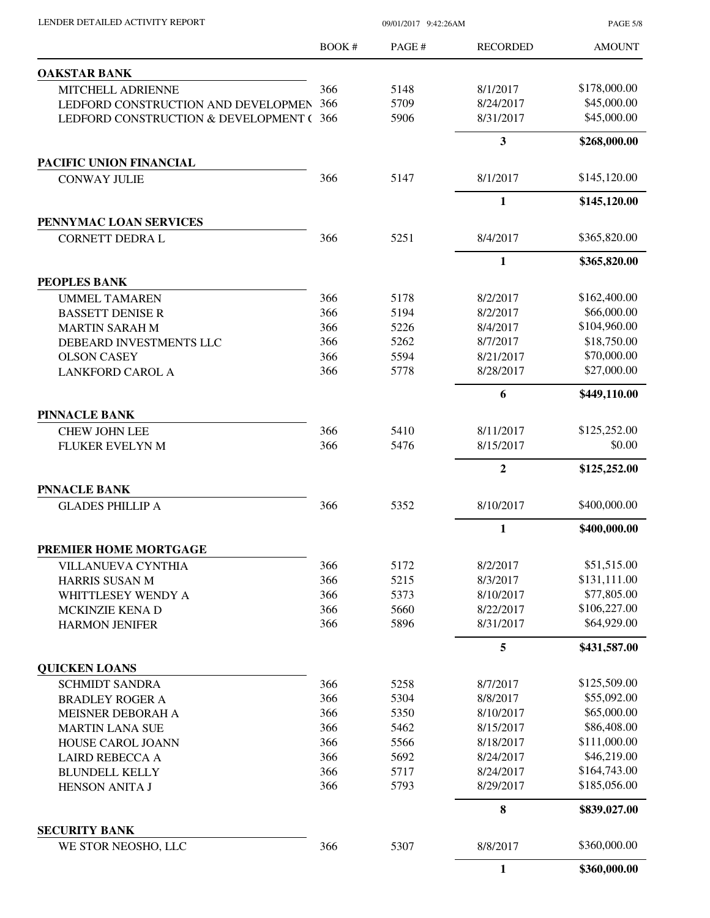| LENDER DETAILED ACTIVITY REPORT             | 09/01/2017 9:42:26AM |       |                         | <b>PAGE 5/8</b> |
|---------------------------------------------|----------------------|-------|-------------------------|-----------------|
|                                             | <b>BOOK#</b>         | PAGE# | <b>RECORDED</b>         | <b>AMOUNT</b>   |
| <b>OAKSTAR BANK</b>                         |                      |       |                         |                 |
| MITCHELL ADRIENNE                           | 366                  | 5148  | 8/1/2017                | \$178,000.00    |
| LEDFORD CONSTRUCTION AND DEVELOPMEN         | 366                  | 5709  | 8/24/2017               | \$45,000.00     |
| LEDFORD CONSTRUCTION & DEVELOPMENT (        | 366                  | 5906  | 8/31/2017               | \$45,000.00     |
|                                             |                      |       | $\overline{\mathbf{3}}$ | \$268,000.00    |
| PACIFIC UNION FINANCIAL                     |                      |       |                         |                 |
| <b>CONWAY JULIE</b>                         | 366                  | 5147  | 8/1/2017                | \$145,120.00    |
|                                             |                      |       | $\mathbf{1}$            | \$145,120.00    |
| PENNYMAC LOAN SERVICES                      |                      |       |                         |                 |
| CORNETT DEDRA L                             | 366                  | 5251  | 8/4/2017                | \$365,820.00    |
|                                             |                      |       | 1                       | \$365,820.00    |
| PEOPLES BANK<br><b>UMMEL TAMAREN</b>        | 366                  | 5178  | 8/2/2017                | \$162,400.00    |
| <b>BASSETT DENISE R</b>                     | 366                  | 5194  | 8/2/2017                | \$66,000.00     |
| <b>MARTIN SARAH M</b>                       | 366                  | 5226  | 8/4/2017                | \$104,960.00    |
| DEBEARD INVESTMENTS LLC                     | 366                  | 5262  | 8/7/2017                | \$18,750.00     |
| <b>OLSON CASEY</b>                          | 366                  | 5594  | 8/21/2017               | \$70,000.00     |
| <b>LANKFORD CAROL A</b>                     | 366                  | 5778  | 8/28/2017               | \$27,000.00     |
|                                             |                      |       | 6                       | \$449,110.00    |
| <b>PINNACLE BANK</b>                        |                      |       |                         |                 |
| <b>CHEW JOHN LEE</b>                        | 366                  | 5410  | 8/11/2017               | \$125,252.00    |
| <b>FLUKER EVELYN M</b>                      | 366                  | 5476  | 8/15/2017               | \$0.00          |
|                                             |                      |       | $\overline{2}$          | \$125,252.00    |
| <b>PNNACLE BANK</b>                         |                      |       |                         |                 |
| <b>GLADES PHILLIP A</b>                     | 366                  | 5352  | 8/10/2017               | \$400,000.00    |
|                                             |                      |       | $\mathbf{1}$            | \$400,000.00    |
| PREMIER HOME MORTGAGE                       | 366                  | 5172  | 8/2/2017                | \$51,515.00     |
| VILLANUEVA CYNTHIA<br>HARRIS SUSAN M        | 366                  | 5215  | 8/3/2017                | \$131,111.00    |
| WHITTLESEY WENDY A                          | 366                  | 5373  | 8/10/2017               | \$77,805.00     |
| MCKINZIE KENA D                             | 366                  | 5660  | 8/22/2017               | \$106,227.00    |
| <b>HARMON JENIFER</b>                       | 366                  | 5896  | 8/31/2017               | \$64,929.00     |
|                                             |                      |       | 5                       | \$431,587.00    |
| <b>QUICKEN LOANS</b>                        |                      |       |                         |                 |
| <b>SCHMIDT SANDRA</b>                       | 366                  | 5258  | 8/7/2017                | \$125,509.00    |
| <b>BRADLEY ROGER A</b>                      | 366                  | 5304  | 8/8/2017                | \$55,092.00     |
| MEISNER DEBORAH A                           | 366                  | 5350  | 8/10/2017               | \$65,000.00     |
| <b>MARTIN LANA SUE</b>                      | 366                  | 5462  | 8/15/2017               | \$86,408.00     |
| HOUSE CAROL JOANN                           | 366                  | 5566  | 8/18/2017               | \$111,000.00    |
| <b>LAIRD REBECCA A</b>                      | 366                  | 5692  | 8/24/2017               | \$46,219.00     |
| <b>BLUNDELL KELLY</b>                       | 366                  | 5717  | 8/24/2017               | \$164,743.00    |
| HENSON ANITA J                              | 366                  | 5793  | 8/29/2017               | \$185,056.00    |
|                                             |                      |       | 8                       | \$839,027.00    |
| <b>SECURITY BANK</b><br>WE STOR NEOSHO, LLC | 366                  | 5307  | 8/8/2017                | \$360,000.00    |
|                                             |                      |       | $\mathbf{1}$            | \$360,000.00    |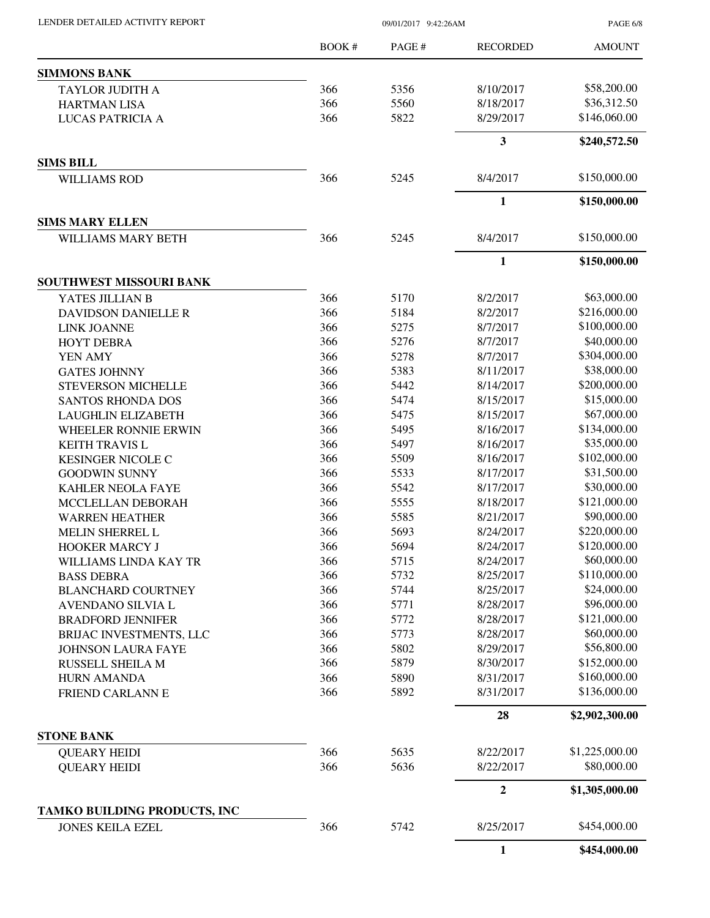PAGE 6/8

|                                | <b>BOOK#</b> | PAGE # | <b>RECORDED</b>         | <b>AMOUNT</b>  |
|--------------------------------|--------------|--------|-------------------------|----------------|
| <b>SIMMONS BANK</b>            |              |        |                         |                |
| <b>TAYLOR JUDITH A</b>         | 366          | 5356   | 8/10/2017               | \$58,200.00    |
| <b>HARTMAN LISA</b>            | 366          | 5560   | 8/18/2017               | \$36,312.50    |
| LUCAS PATRICIA A               | 366          | 5822   | 8/29/2017               | \$146,060.00   |
|                                |              |        | $\overline{\mathbf{3}}$ | \$240,572.50   |
| <b>SIMS BILL</b>               |              |        |                         |                |
| <b>WILLIAMS ROD</b>            | 366          | 5245   | 8/4/2017                | \$150,000.00   |
|                                |              |        | 1                       | \$150,000.00   |
| <b>SIMS MARY ELLEN</b>         |              |        |                         |                |
| <b>WILLIAMS MARY BETH</b>      | 366          | 5245   | 8/4/2017                | \$150,000.00   |
|                                |              |        | 1                       | \$150,000.00   |
| <b>SOUTHWEST MISSOURI BANK</b> |              |        |                         |                |
| YATES JILLIAN B                | 366          | 5170   | 8/2/2017                | \$63,000.00    |
| DAVIDSON DANIELLE R            | 366          | 5184   | 8/2/2017                | \$216,000.00   |
| <b>LINK JOANNE</b>             | 366          | 5275   | 8/7/2017                | \$100,000.00   |
| <b>HOYT DEBRA</b>              | 366          | 5276   | 8/7/2017                | \$40,000.00    |
| YEN AMY                        | 366          | 5278   | 8/7/2017                | \$304,000.00   |
| <b>GATES JOHNNY</b>            | 366          | 5383   | 8/11/2017               | \$38,000.00    |
| <b>STEVERSON MICHELLE</b>      | 366          | 5442   | 8/14/2017               | \$200,000.00   |
| <b>SANTOS RHONDA DOS</b>       | 366          | 5474   | 8/15/2017               | \$15,000.00    |
| <b>LAUGHLIN ELIZABETH</b>      | 366          | 5475   | 8/15/2017               | \$67,000.00    |
| WHEELER RONNIE ERWIN           | 366          | 5495   | 8/16/2017               | \$134,000.00   |
| <b>KEITH TRAVIS L</b>          | 366          | 5497   | 8/16/2017               | \$35,000.00    |
| <b>KESINGER NICOLE C</b>       | 366          | 5509   | 8/16/2017               | \$102,000.00   |
| <b>GOODWIN SUNNY</b>           | 366          | 5533   | 8/17/2017               | \$31,500.00    |
| <b>KAHLER NEOLA FAYE</b>       | 366          | 5542   | 8/17/2017               | \$30,000.00    |
| MCCLELLAN DEBORAH              | 366          | 5555   | 8/18/2017               | \$121,000.00   |
| <b>WARREN HEATHER</b>          | 366          | 5585   | 8/21/2017               | \$90,000.00    |
| MELIN SHERREL L                | 366          | 5693   | 8/24/2017               | \$220,000.00   |
| HOOKER MARCY J                 | 366          | 5694   | 8/24/2017               | \$120,000.00   |
| WILLIAMS LINDA KAY TR          | 366          | 5715   | 8/24/2017               | \$60,000.00    |
| <b>BASS DEBRA</b>              | 366          | 5732   | 8/25/2017               | \$110,000.00   |
| <b>BLANCHARD COURTNEY</b>      | 366          | 5744   | 8/25/2017               | \$24,000.00    |
| AVENDANO SILVIA L              | 366          | 5771   | 8/28/2017               | \$96,000.00    |
| <b>BRADFORD JENNIFER</b>       | 366          | 5772   | 8/28/2017               | \$121,000.00   |
| BRIJAC INVESTMENTS, LLC        | 366          | 5773   | 8/28/2017               | \$60,000.00    |
| <b>JOHNSON LAURA FAYE</b>      | 366          | 5802   | 8/29/2017               | \$56,800.00    |
| <b>RUSSELL SHEILA M</b>        | 366          | 5879   | 8/30/2017               | \$152,000.00   |
| <b>HURN AMANDA</b>             | 366          | 5890   | 8/31/2017               | \$160,000.00   |
| FRIEND CARLANN E               | 366          | 5892   | 8/31/2017               | \$136,000.00   |
|                                |              |        | 28                      | \$2,902,300.00 |
| <b>STONE BANK</b>              |              |        |                         |                |
| <b>QUEARY HEIDI</b>            | 366          | 5635   | 8/22/2017               | \$1,225,000.00 |
| <b>QUEARY HEIDI</b>            | 366          | 5636   | 8/22/2017               | \$80,000.00    |
|                                |              |        | $\mathbf{2}$            | \$1,305,000.00 |
| TAMKO BUILDING PRODUCTS, INC   |              |        |                         |                |
| <b>JONES KEILA EZEL</b>        | 366          | 5742   | 8/25/2017               | \$454,000.00   |
|                                |              |        | $\mathbf{1}$            | \$454,000.00   |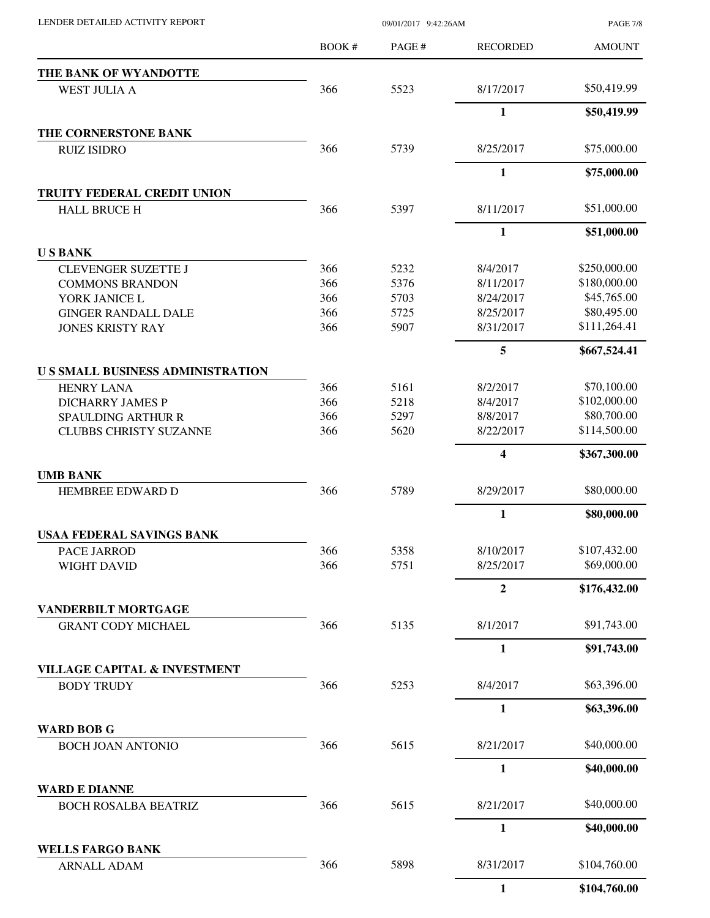| LENDER DETAILED ACTIVITY REPORT |  |
|---------------------------------|--|

09/01/2017 9:42:26AM

PAGE 7/8

|                                                              | BOOK # | PAGE# | <b>RECORDED</b> | <b>AMOUNT</b> |
|--------------------------------------------------------------|--------|-------|-----------------|---------------|
| THE BANK OF WYANDOTTE                                        |        |       |                 |               |
| <b>WEST JULIA A</b>                                          | 366    | 5523  | 8/17/2017       | \$50,419.99   |
|                                                              |        |       | $\mathbf{1}$    | \$50,419.99   |
| THE CORNERSTONE BANK                                         |        |       |                 |               |
| <b>RUIZ ISIDRO</b>                                           | 366    | 5739  | 8/25/2017       | \$75,000.00   |
|                                                              |        |       | $\mathbf{1}$    | \$75,000.00   |
| TRUITY FEDERAL CREDIT UNION                                  |        |       |                 |               |
| <b>HALL BRUCE H</b>                                          | 366    | 5397  | 8/11/2017       | \$51,000.00   |
|                                                              |        |       | $\mathbf{1}$    | \$51,000.00   |
| <b>USBANK</b>                                                |        |       |                 |               |
| <b>CLEVENGER SUZETTE J</b>                                   | 366    | 5232  | 8/4/2017        | \$250,000.00  |
| <b>COMMONS BRANDON</b>                                       | 366    | 5376  | 8/11/2017       | \$180,000.00  |
| YORK JANICE L                                                | 366    | 5703  | 8/24/2017       | \$45,765.00   |
| <b>GINGER RANDALL DALE</b>                                   | 366    | 5725  | 8/25/2017       | \$80,495.00   |
| <b>JONES KRISTY RAY</b>                                      | 366    | 5907  | 8/31/2017       | \$111,264.41  |
|                                                              |        |       | 5               | \$667,524.41  |
| <b>US SMALL BUSINESS ADMINISTRATION</b>                      |        |       |                 |               |
| <b>HENRY LANA</b>                                            | 366    | 5161  | 8/2/2017        | \$70,100.00   |
| <b>DICHARRY JAMES P</b>                                      | 366    | 5218  | 8/4/2017        | \$102,000.00  |
| <b>SPAULDING ARTHUR R</b>                                    | 366    | 5297  | 8/8/2017        | \$80,700.00   |
| <b>CLUBBS CHRISTY SUZANNE</b>                                | 366    | 5620  | 8/22/2017       | \$114,500.00  |
|                                                              |        |       | 4               | \$367,300.00  |
| <b>UMB BANK</b>                                              |        |       |                 |               |
| HEMBREE EDWARD D                                             | 366    | 5789  | 8/29/2017       | \$80,000.00   |
|                                                              |        |       | $\mathbf{1}$    | \$80,000.00   |
| <b>USAA FEDERAL SAVINGS BANK</b>                             |        |       |                 |               |
| PACE JARROD                                                  | 366    | 5358  | 8/10/2017       | \$107,432.00  |
| <b>WIGHT DAVID</b>                                           | 366    | 5751  | 8/25/2017       | \$69,000.00   |
|                                                              |        |       | $\overline{2}$  | \$176,432.00  |
| VANDERBILT MORTGAGE                                          |        |       |                 |               |
| <b>GRANT CODY MICHAEL</b>                                    | 366    | 5135  | 8/1/2017        | \$91,743.00   |
|                                                              |        |       | $\mathbf{1}$    | \$91,743.00   |
| <b>VILLAGE CAPITAL &amp; INVESTMENT</b><br><b>BODY TRUDY</b> | 366    | 5253  | 8/4/2017        | \$63,396.00   |
|                                                              |        |       |                 |               |
|                                                              |        |       | $\mathbf{1}$    | \$63,396.00   |
| <b>WARD BOB G</b>                                            |        |       |                 |               |
| <b>BOCH JOAN ANTONIO</b>                                     | 366    | 5615  | 8/21/2017       | \$40,000.00   |
|                                                              |        |       | $\mathbf{1}$    | \$40,000.00   |
| <b>WARD E DIANNE</b>                                         |        |       |                 |               |
| <b>BOCH ROSALBA BEATRIZ</b>                                  | 366    | 5615  | 8/21/2017       | \$40,000.00   |
|                                                              |        |       | 1               | \$40,000.00   |
| <b>WELLS FARGO BANK</b><br><b>ARNALL ADAM</b>                | 366    | 5898  | 8/31/2017       | \$104,760.00  |
|                                                              |        |       | $\mathbf{1}$    | \$104,760.00  |
|                                                              |        |       |                 |               |